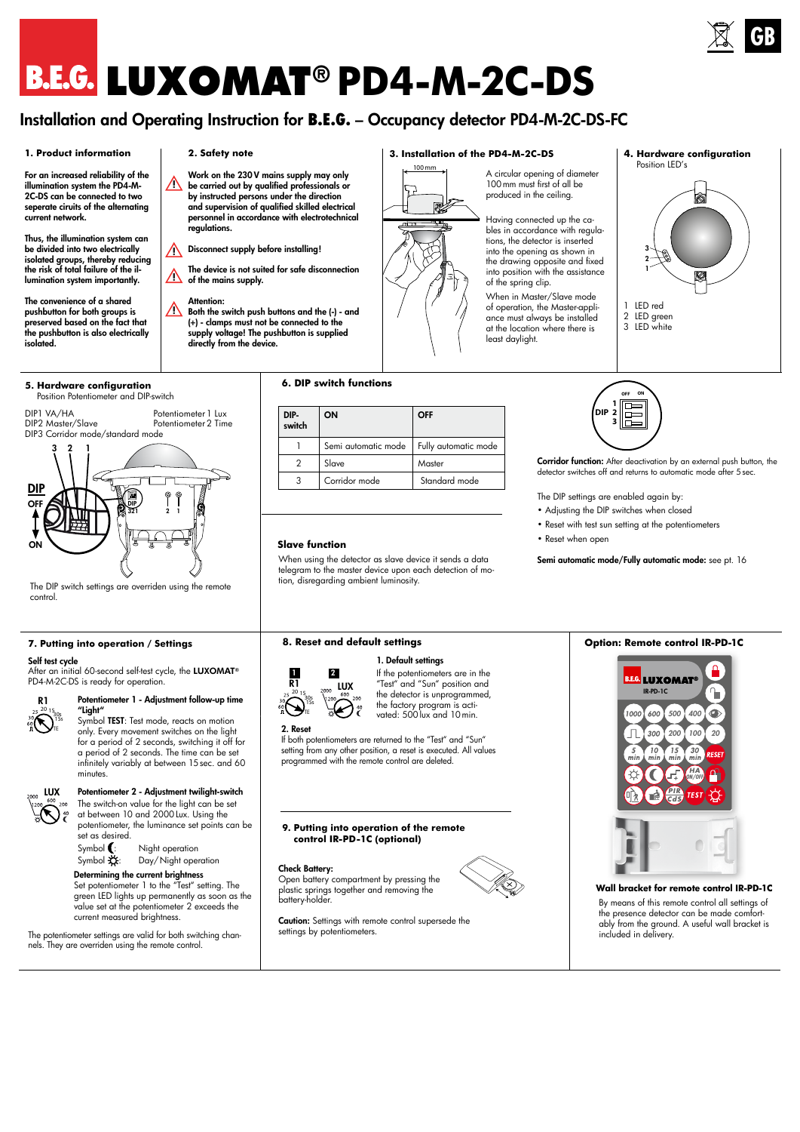# **LUXOMAT® PD4-M-2C-DS**

# Installation and Operating Instruction for **B.E.G.** – Occupancy detector PD4-M-2C-DS-FC

### **1. Product information**

For an increased reliability of the illumination system the PD4-M-2C-DS can be connected to two seperate ciruits of the alternating current network.

Thus, the illumination system can be divided into two electrically isolated groups, thereby reducing the risk of total failure of the illumination system importantly.

The convenience of a shared pushbutton for both groups is preserved based on the fact that the pushbutton is also electrically isolated.

### **5. Hardware configuration**  Position Potentiometer and DIP-switch

Potentiometer 1 Lux Potentiometer2 Time DIP1 VA/HA DIP2 Master/Slave DIP3 Corridor mode/standard mode



The DIP switch settings are overriden using the remote control.

### **7. Putting into operation / Settings**

### Self test cycle

After an initial 60-second self-test cycle, the LUXOMAT® PD4-M-2C-DS is ready for operation.



LUX

### Potentiometer 1 - Adjustment follow-up time "Light"

Symbol TEST: Test mode, reacts on motion only. Every movement switches on the light for a period of 2 seconds, switching it off for a period of 2 seconds. The time can be set infinitely variably at between 15sec. and 60 minutes.

### Potentiometer 2 - Adjustment twilight-switch

The switch-on value for the light can be set at between 10 and 2000Lux. Using the potentiometer, the luminance set points can be set as desired.



### Determining the current brightness

Set potentiometer 1 to the "Test" setting. The green LED lights up permanently as soon as the value set at the potentiometer 2 exceeds the current measured brightness.

The potentiometer settings are valid for both switching channels. They are overriden using the remote control.

### **2. Safety note**

Work on the 230 V mains supply may only be carried out by qualified professionals or by instructed persons under the direction and supervision of qualified skilled electrical personnel in accordance with electrotechnical .<br>regulations. **!**

Disconnect supply before installing! **!**

The device is not suited for safe disconnection **1** of the mains supply.

Attention: **!**

Both the switch push buttons and the (-) - and (+) - clamps must not be connected to the supply voltage! The pushbutton is supplied directly from the device.

### **6. DIP switch functions**

| DIP-<br>switch | ON                  | OFF                  |
|----------------|---------------------|----------------------|
|                | Semi automatic mode | Fully automatic mode |
|                | Slave               | Master               |
| 3              | Corridor mode       | Standard mode        |

100 mm

郾

1

### **Slave function**

When using the detector as slave device it sends a data telegram to the master device upon each detection of motion, disregarding ambient luminosity.

### **8. Reset and default settings**



If the potentiometers are in the "Test" and "Sun" position and the detector is unprogrammed, the factory program is activated: 500 lux and 10 min.

1. Default settings

### 2. Reset

If both potentiometers are returned to the "Test" and "Sun" setting from any other position, a reset is executed. All values programmed with the remote control are deleted.

### **9. Putting into operation of the remote control IR-PD-1C (optional)**

Caution: Settings with remote control supersede the

### Check Battery:

settings by potentiometers.

Open battery compartment by pressing the plastic springs together and removing the battery-holder.

### **3. Installation of the PD4-M-2C-DS**

A circular opening of diameter 100mm must first of all be produced in the ceiling.

Having connected up the cables in accordance with regulations, the detector is inserted into the opening as shown in the drawing opposite and fixed into position with the assistance of the spring clip.

When in Master/Slave mode of operation, the Master-appliance must always be installed at the location where there is least daylight.

### **4. Hardware configuration**



**OFF ON** 苊 **1 DIP 2 3**

Corridor function: After deactivation by an external push button, the detector switches off and returns to automatic mode after 5sec.

The DIP settings are enabled again by:

- Adjusting the DIP switches when closed
- Reset with test sun setting at the potentiometers
- Reset when open

Semi automatic mode/Fully automatic mode: see pt. 16

### **Option: Remote control IR-PD-1C**



### **Wall bracket for remote control IR-PD-1C** By means of this remote control all settings of

the presence detector can be made comfortably from the ground. A useful wall bracket is included in delivery.





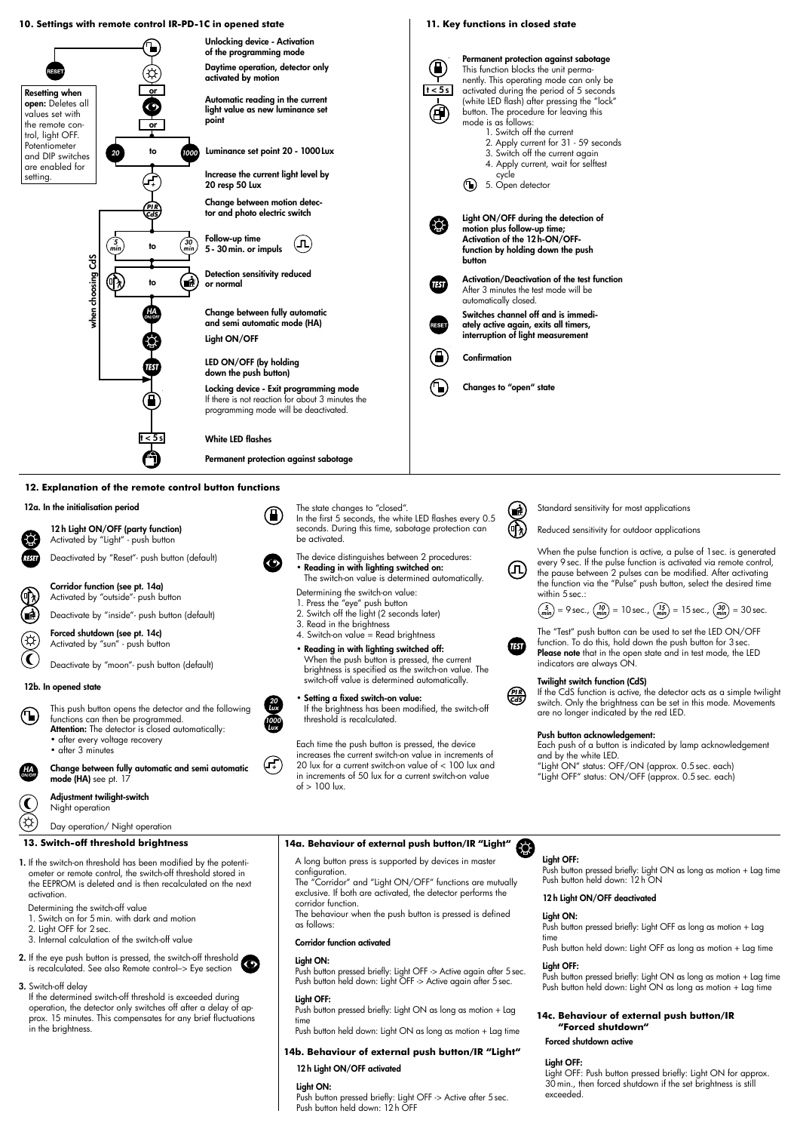### **10. Settings with remote control IR-PD-1C in opened state 11. Key functions in closed state** Unlocking device - Activation of the programming mode Permanent protection against sabotage ⋒ **activated by motion, detector only<br>
activated by motion**<br> **activated by motion**<br> **activated by motion**<br> **activated by motion**<br> **activated by motion**<br> **activated is new luminance set<br>
point<br>
<b>b**<br> **complexies the current li** This function blocks the unit permaactivated by motion nently. This operating mode can only be  $t < 5s$ activated during the period of 5 seconds Resetting when or (white LED flash) after pressing the "lock" Automatic reading in the current light value as new luminance set open: Deletes all 庙 button. The procedure for leaving this values set with mode is as follows: point the remote conor 1. Switch off the current trol, light OFF. 2. Apply current for 31 - 59 seconds Potentiometer Luminance set point 20 - 1000 Lux and DIP switches *20* to *1000* 3. Switch off the current again are enabled for 4. Apply current, wait for selftest Increase the current light level by setting. cycle *+* 20 resp 50 Lux 5. Open detector Change between motion detec-*PI R CdS* tor and photo electric switch Light ON/OFF during the detection of (Q) motion plus follow-up time; Activation of the 12 h-ON/OFF-Follow-up time to  $\begin{array}{c} (30) \\ (min) \end{array}$  5 - 30 min. or impuls  $\begin{array}{c} (11) \\ (21) \end{array}$ *�� 5* function by holding down the push *��� ���* button choosing CdS when choosing CdS ⊕  $\begin{pmatrix} 1 \ \end{pmatrix}$  Detection sensitivity reduced<br>to  $\begin{pmatrix} 1 \ \end{pmatrix}$  or normal Activation/Deactivation of the test function or normal TFST After 3 minutes the test mode will be automatically closed. yhen Change between fully automatic Switches channel off and is immedi-*HA ON/OFF* and semi automatic mode (HA) ately active again, exits all timers, interruption of light measurement Light ON/OFF Confirmation LED ON/OFF (by holding down the push button) Locking device - Exit programming mode Changes to "open" state If there is not reaction for about 3 minutes the Ή programming mode will be deactivated. White LED flashes  $\overline{t}$ Permanent protection against sabotage

### **12. Explanation of the remote control button functions**

12a. In the initialisation period

12 h Light ON/OFF (party function) Activated by "Light" - push button Deactivated by "Reset"- push button (default)

**Corridor function (see pt. 14a)**<br>Activated by "outside"- push button

Deactivate by "inside"- push button (default)

Forced shutdown (see pt. 14c) Activated by "sun" - push button

Deactivate by "moon"- push button (default)

### 12b. In opened state

*HA ON/OFF*

- This push button opens the detector and the following functions can then be programmed. Attention: The detector is closed automatically: • after every voltage recovery
	- after 3 minutes

Change between fully automatic and semi automatic mode (HA) see pt. 17

Adjustment twilight-switch

Night operation

### Day operation/ Night operation

### **13. Switch-off threshold brightness**

- 1. If the switch-on threshold has been modified by the potentiometer or remote control, the switch-off threshold stored in the EEPROM is deleted and is then recalculated on the next activation.
- Determining the switch-off value
- 1. Switch on for 5min. with dark and motion
- 2. Light OFF for 2sec.
- 3. Internal calculation of the switch-off value
- 2. If the eye push button is pressed, the switch-off threshold is recalculated. See also Remote control–> Eye section

3. Switch-off delay If the determined switch-off threshold is exceeded during operation, the detector only switches off after a delay of approx. 15 minutes. This compensates for any brief fluctuations in the brightness.

- The state changes to "closed". In the first 5 seconds, the white LED flashes every 0.5 seconds. During this time, sabotage protection can be activated.
- The device distinguishes between 2 procedures: • Reading in with lighting switched on: The switch-on value is determined automatically.
- Determining the switch-on value:
- 
- 1. Press the "eye" push button 2. Switch off the light (2 seconds later)
- 3. Read in the brightness
- 4. Switch-on value = Read brightness



Setting a fixed switch-on value:

If the brightness has been modified, the switch-off threshold is recalculated.

Each time the push button is pressed, the device increases the current switch-on value in increments of 20 lux for a current switch-on value of < 100 lux and in increments of 50 lux for a current switch-on value of  $> 100$  lux.

### **14a. Behaviour of external push button/IR "Light"**

A long button press is supported by devices in master

configuration. The "Corridor" and "Light ON/OFF" functions are mutually exclusive. If both are activated, the detector performs the corridor function.

The behaviour when the push button is pressed is defined as follows:

### Corridor function activated

### Light ON:

Push button pressed briefly: Light OFF -> Active again after 5sec. Push button held down: Light OFF -> Active again after 5sec.

### Light OFF:

Push button pressed briefly: Light ON as long as motion + Lag

time Push button held down: Light ON as long as motion + Lag time

### **14b. Behaviour of external push button/IR "Light"**

### 12 h Light ON/OFF activated

### Light ON:

Push button pressed briefly: Light OFF -> Active after 5 sec. Push button held down: 12h OFF



Reduced sensitivity for outdoor applications

When the pulse function is active, a pulse of 1sec. is generated every 9sec. If the pulse function is activated via remote control, the pause between 2 pulses can be modified. After activating the function via the "Pulse" push button, select the desired time within 5 sec.:

# $\binom{5}{m}$  = 9 sec.,  $\binom{10}{m}$  = 10 sec.,  $\binom{15}{m}$  = 15 sec.,  $\binom{30}{m}$  = 30 sec.

The "Test" push button can be used to set the LED ON/OFF function. To do this, hold down the push button for 3sec. Please note that in the open state and in test mode, the LED indicators are always ON.

### Twilight switch function (CdS)

*PI R CdS*

 $\bullet$ 

 $\mathbf{G}$ 

 $\mathcal{F}(\mathcal{F})$ 

(几

If the CdS function is active, the detector acts as a simple twilight switch. Only the brightness can be set in this mode. Movements are no longer indicated by the red LED.

### Push button acknowledgement:

Each push of a button is indicated by lamp acknowledgement and by the white LED.

"Light ON" status: OFF/ON (approx. 0.5sec. each) "Light OFF" status: ON/OFF (approx. 0.5sec. each)

Light OFF: Push button pressed briefly: Light ON as long as motion + Lag time Push button held down: 12h ON

### 12 h Light ON/OFF deactivated

### Light ON:

Push button pressed briefly: Light OFF as long as motion + Lag time

Push button held down: Light OFF as long as motion + Lag time Light OFF:

Push button pressed briefly: Light ON as long as motion + Lag time Push button held down: Light ON as long as motion + Lag time

### **14c. Behaviour of external push button/IR "Forced shutdown"**

### Forced shutdown active

### Light OFF:

Light OFF: Push button pressed briefly: Light ON for approx. 30min., then forced shutdown if the set brightness is still exceeded.



*+*

(H)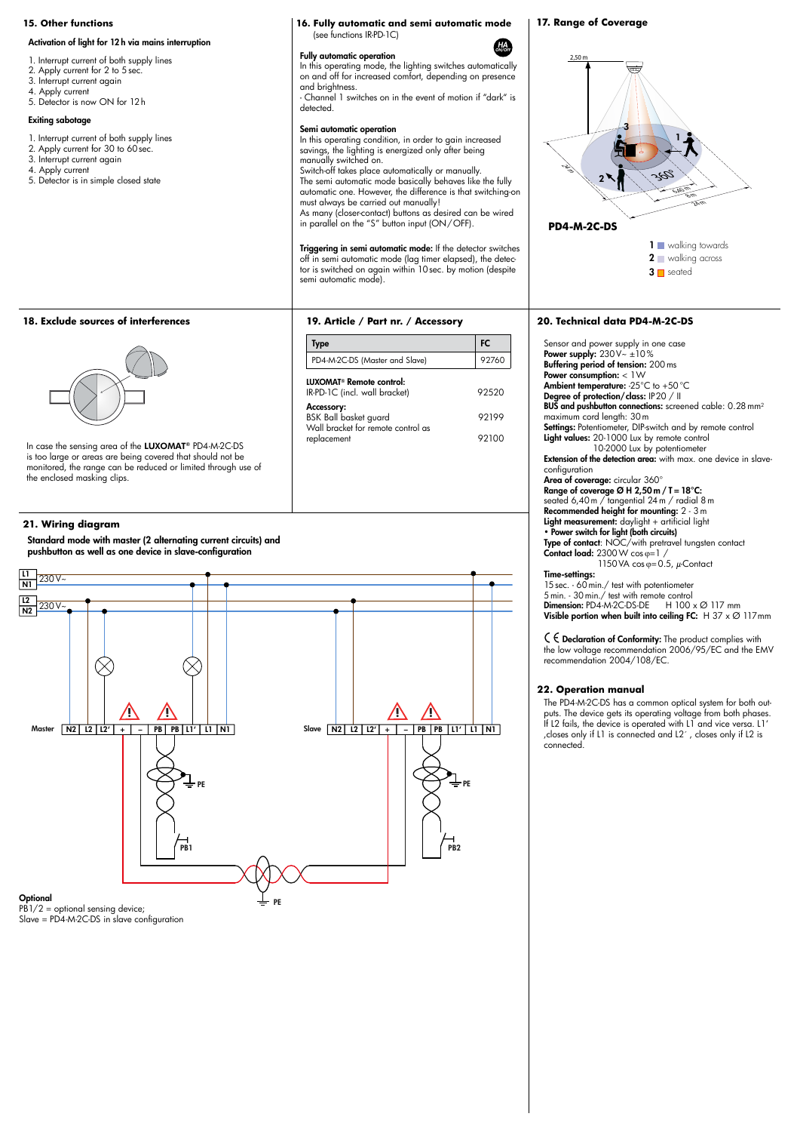### Activation of light for 12 h via mains interruption

- 1. Interrupt current of both supply lines
- 2. Apply current for 2 to 5 sec
- 3. Interrupt current again
- 4. Apply current 5. Detector is now ON for 12h
- 

### Exiting sabotage

- 1. Interrupt current of both supply lines
- 2. Apply current for 30 to 60 sec. 3. Interrupt current again
- 4. Apply current
- 5. Detector is in simple closed state

### **15. Other functions 16. Fully automatic and semi automatic mode** (see functions IR-PD-1C)

### Fully automatic operation

In this operating mode, the lighting switches automatically on and off for increased comfort, depending on presence and brightness.

- Channel 1 switches on in the event of motion if "dark" is detected.

### Semi automatic operation

In this operating condition, in order to gain increased savings, the lighting is energized only after being manually switched on.

Switch-off takes place automatically or manually. The semi automatic mode basically behaves like the fully automatic one. However, the difference is that switching-on must always be carried out manually! As many (closer-contact) buttons as desired can be wired

in parallel on the "S" button input (ON/OFF).

Triggering in semi automatic mode: If the detector switches off in semi automatic mode (lag timer elapsed), the detec-tor is switched on again within 10sec. by motion (despite semi automatic mode).

Type FC is a state of the state of the FC PD4-M-2C-DS (Master and Slave) 92760

**19. Article / Part nr. / Accessory**

IR-PD-1C (incl. wall bracket) 92520 Accessory: BSK Ball basket guard 92199

replacement 92100

LUXOMAT® Remote control:

Wall bracket for remote control as

# **18. Exclude sources of interferences**



In case the sensing area of the LUXOMAT® PD4-M-2C-DS is too large or areas are being covered that should not be monitored, the range can be reduced or limited through use of the enclosed masking clips.

### **21. Wiring diagram**

Standard mode with master (2 alternating current circuits) and pushbutton as well as one device in slave-configuration



Slave = PD4-M-2C-DS in slave configuration

## **17. Range of Coverage**

*HA ON/OFF*





### **20. Technical data PD4-M-2C-DS**

Sensor and power supply in one case<br>**Power supply:** 230V~ ±10% Buffering period of tension: 200 ms Power consumption: < 1W Ambient temperature: -25°C to +50°C Degree of protection/class: IP20 / II BUS and pushbutton connections: screened cable: 0.28 mm<sup>2</sup> maximum cord length: 30m **Settings:** Potentiometer, DIP-switch and by remote control Light values: 20-1000 Lux by remote control 10-2000 Lux by potentiometer Extension of the detection area: with max. one device in slaveconfiguration Area of coverage: circular 360° Range of coverage  $Ø$  H 2,50 m / T = 18°C: seated 6,40m / tangential 24m / radial 8m Recommended height for mounting: 2 - 3m Light measurement: daylight + artificial light • Power switch for light (both circuits) **Type of contact**: NOC/with pretravel tungsten contact<br>**Contact load:** 2300W cos φ=1 / 1150 VA cos  $\varphi$ =0.5,  $\mu$ -Contact Time-settings: 15 sec. - 60 min./ test with potentiometer 5min. - 30min./ test with remote control **Dimension:** PD4-M-2C-DS-DE  $H$  100  $\times$  Ø 117 mm

Visible portion when built into ceiling FC:  $H$  37 x  $\varnothing$  117mm

 $C \in$  Declaration of Conformity: The product complies with the low voltage recommendation 2006/95/EC and the EMV recommendation 2004/108/EC.

### **22. Operation manual**

The PD4-M-2C-DS has a common optical system for both outputs. The device gets its operating voltage from both phases. If L2 fails, the device is operated with L1 and vice versa. L1' , closes only if L1 is connected and L2´, closes only if L2 is connected.